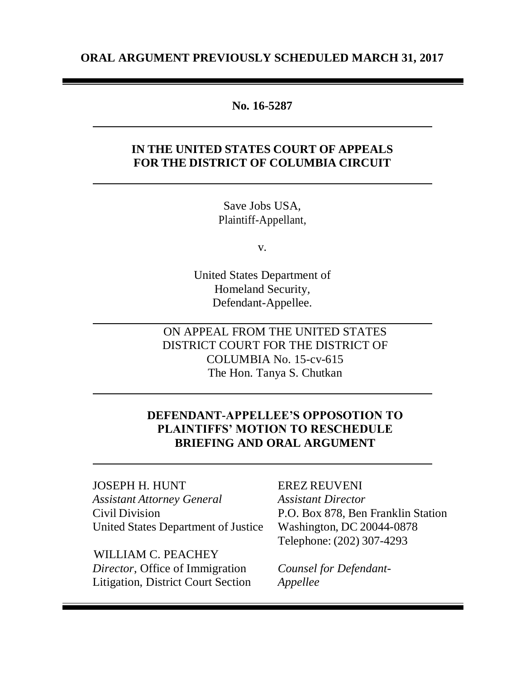## **ORAL ARGUMENT PREVIOUSLY SCHEDULED MARCH 31, 2017**

## **No. 16-5287**

## **IN THE UNITED STATES COURT OF APPEALS FOR THE DISTRICT OF COLUMBIA CIRCUIT**

Save Jobs USA*,* Plaintiff-Appellant,

v.

United States Department of Homeland Security*,* Defendant-Appellee.

ON APPEAL FROM THE UNITED STATES DISTRICT COURT FOR THE DISTRICT OF COLUMBIA No. 15-cv-615 The Hon. Tanya S. Chutkan

# **DEFENDANT-APPELLEE'S OPPOSOTION TO PLAINTIFFS' MOTION TO RESCHEDULE BRIEFING AND ORAL ARGUMENT**

JOSEPH H. HUNT EREZ REUVENI *Assistant Attorney General Assistant Director* Civil Division P.O. Box 878, Ben Franklin Station United States Department of Justice Washington, DC 20044-0878

 WILLIAM C. PEACHEY *Director*, Office of Immigration *Counsel for Defendant-*Litigation, District Court Section *Appellee*

Telephone: (202) 307-4293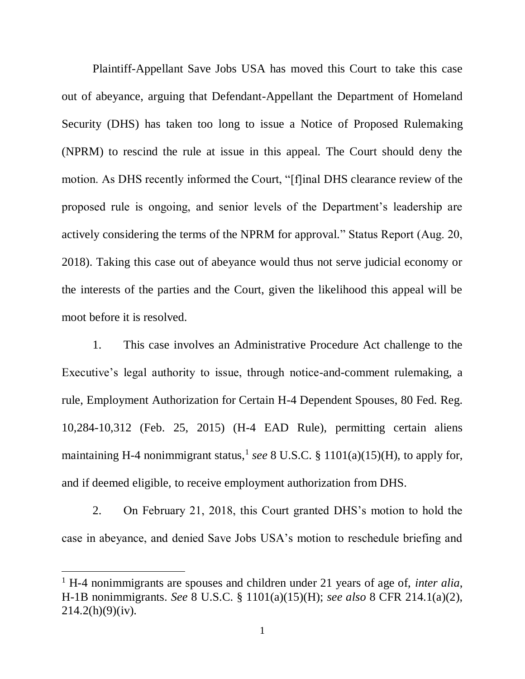Plaintiff-Appellant Save Jobs USA has moved this Court to take this case out of abeyance, arguing that Defendant-Appellant the Department of Homeland Security (DHS) has taken too long to issue a Notice of Proposed Rulemaking (NPRM) to rescind the rule at issue in this appeal. The Court should deny the motion. As DHS recently informed the Court, "[f]inal DHS clearance review of the proposed rule is ongoing, and senior levels of the Department's leadership are actively considering the terms of the NPRM for approval." Status Report (Aug. 20, 2018). Taking this case out of abeyance would thus not serve judicial economy or the interests of the parties and the Court, given the likelihood this appeal will be moot before it is resolved.

1. This case involves an Administrative Procedure Act challenge to the Executive's legal authority to issue, through notice-and-comment rulemaking, a rule, Employment Authorization for Certain H-4 Dependent Spouses, 80 Fed. Reg. 10,284-10,312 (Feb. 25, 2015) (H-4 EAD Rule), permitting certain aliens maintaining H-4 nonimmigrant status,<sup>1</sup> see 8 U.S.C. § 1101(a)(15)(H), to apply for, and if deemed eligible, to receive employment authorization from DHS.

2. On February 21, 2018, this Court granted DHS's motion to hold the case in abeyance, and denied Save Jobs USA's motion to reschedule briefing and

 $\overline{\phantom{a}}$ 

<sup>1</sup> H-4 nonimmigrants are spouses and children under 21 years of age of, *inter alia*, H-1B nonimmigrants. *See* 8 U.S.C. § 1101(a)(15)(H); *see also* 8 CFR 214.1(a)(2),  $214.2(h)(9)(iv)$ .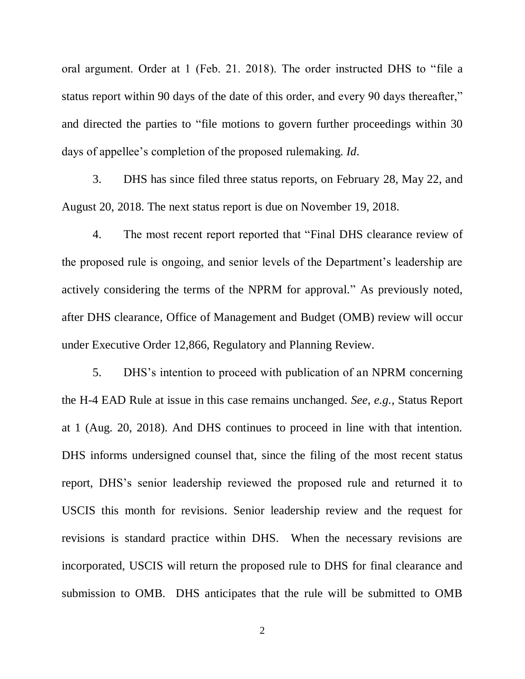oral argument. Order at 1 (Feb. 21. 2018). The order instructed DHS to "file a status report within 90 days of the date of this order, and every 90 days thereafter," and directed the parties to "file motions to govern further proceedings within 30 days of appellee's completion of the proposed rulemaking. *Id*.

3. DHS has since filed three status reports, on February 28, May 22, and August 20, 2018. The next status report is due on November 19, 2018.

4. The most recent report reported that "Final DHS clearance review of the proposed rule is ongoing, and senior levels of the Department's leadership are actively considering the terms of the NPRM for approval." As previously noted, after DHS clearance, Office of Management and Budget (OMB) review will occur under Executive Order 12,866, Regulatory and Planning Review.

5. DHS's intention to proceed with publication of an NPRM concerning the H-4 EAD Rule at issue in this case remains unchanged. *See, e.g.*, Status Report at 1 (Aug. 20, 2018). And DHS continues to proceed in line with that intention. DHS informs undersigned counsel that, since the filing of the most recent status report, DHS's senior leadership reviewed the proposed rule and returned it to USCIS this month for revisions. Senior leadership review and the request for revisions is standard practice within DHS. When the necessary revisions are incorporated, USCIS will return the proposed rule to DHS for final clearance and submission to OMB. DHS anticipates that the rule will be submitted to OMB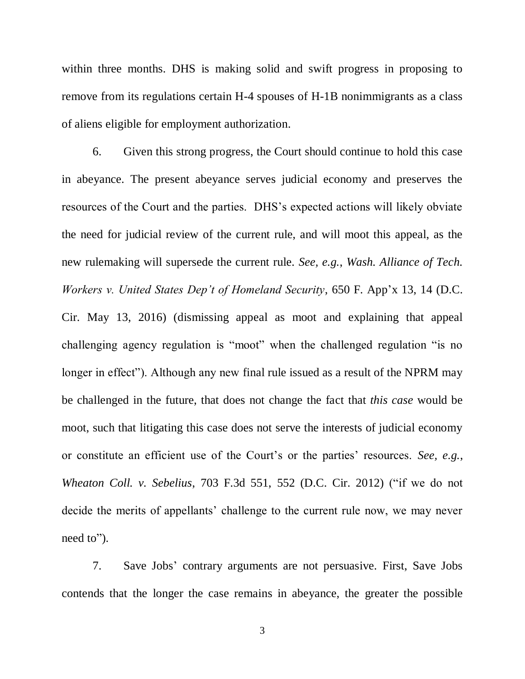within three months. DHS is making solid and swift progress in proposing to remove from its regulations certain H-4 spouses of H-1B nonimmigrants as a class of aliens eligible for employment authorization.

6. Given this strong progress, the Court should continue to hold this case in abeyance. The present abeyance serves judicial economy and preserves the resources of the Court and the parties. DHS's expected actions will likely obviate the need for judicial review of the current rule, and will moot this appeal, as the new rulemaking will supersede the current rule. *See, e.g.*, *Wash. Alliance of Tech. Workers v. United States Dep't of Homeland Security*, 650 F. App'x 13, 14 (D.C. Cir. May 13, 2016) (dismissing appeal as moot and explaining that appeal challenging agency regulation is "moot" when the challenged regulation "is no longer in effect"). Although any new final rule issued as a result of the NPRM may be challenged in the future, that does not change the fact that *this case* would be moot, such that litigating this case does not serve the interests of judicial economy or constitute an efficient use of the Court's or the parties' resources. *See, e.g.*, *Wheaton Coll. v. Sebelius*, 703 F.3d 551, 552 (D.C. Cir. 2012) ("if we do not decide the merits of appellants' challenge to the current rule now, we may never need to").

7. Save Jobs' contrary arguments are not persuasive. First, Save Jobs contends that the longer the case remains in abeyance, the greater the possible

3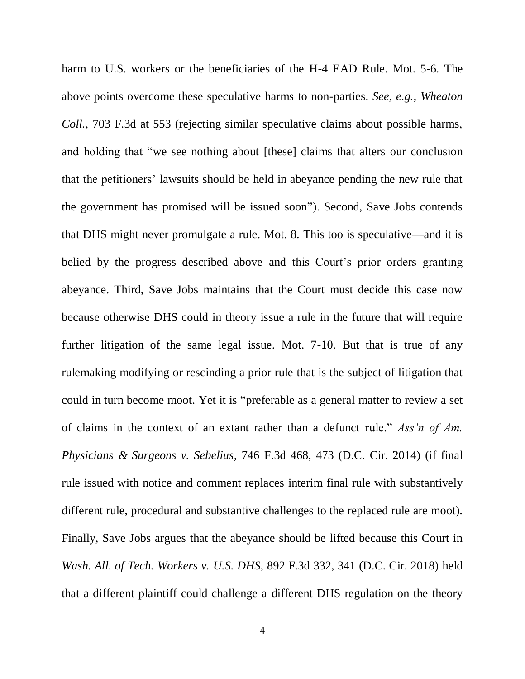harm to U.S. workers or the beneficiaries of the H-4 EAD Rule. Mot. 5-6. The above points overcome these speculative harms to non-parties. *See, e.g.*, *Wheaton Coll.*, 703 F.3d at 553 (rejecting similar speculative claims about possible harms, and holding that "we see nothing about [these] claims that alters our conclusion that the petitioners' lawsuits should be held in abeyance pending the new rule that the government has promised will be issued soon"). Second, Save Jobs contends that DHS might never promulgate a rule. Mot. 8. This too is speculative—and it is belied by the progress described above and this Court's prior orders granting abeyance. Third, Save Jobs maintains that the Court must decide this case now because otherwise DHS could in theory issue a rule in the future that will require further litigation of the same legal issue. Mot. 7-10. But that is true of any rulemaking modifying or rescinding a prior rule that is the subject of litigation that could in turn become moot. Yet it is "preferable as a general matter to review a set of claims in the context of an extant rather than a defunct rule." *Ass'n of Am. Physicians & Surgeons v. Sebelius*, 746 F.3d 468, 473 (D.C. Cir. 2014) (if final rule issued with notice and comment replaces interim final rule with substantively different rule, procedural and substantive challenges to the replaced rule are moot). Finally, Save Jobs argues that the abeyance should be lifted because this Court in *Wash. All. of Tech. Workers v. U.S. DHS*, 892 F.3d 332, 341 (D.C. Cir. 2018) held that a different plaintiff could challenge a different DHS regulation on the theory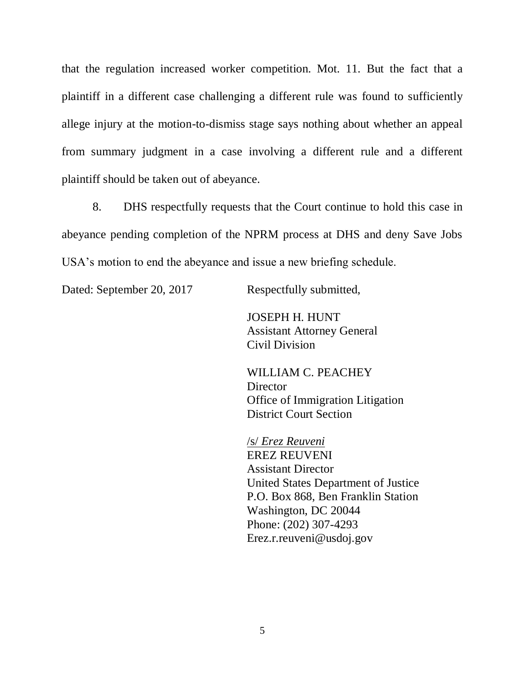that the regulation increased worker competition. Mot. 11. But the fact that a plaintiff in a different case challenging a different rule was found to sufficiently allege injury at the motion-to-dismiss stage says nothing about whether an appeal from summary judgment in a case involving a different rule and a different plaintiff should be taken out of abeyance.

8. DHS respectfully requests that the Court continue to hold this case in abeyance pending completion of the NPRM process at DHS and deny Save Jobs USA's motion to end the abeyance and issue a new briefing schedule.

Dated: September 20, 2017 Respectfully submitted,

JOSEPH H. HUNT Assistant Attorney General Civil Division

WILLIAM C. PEACHEY **Director** Office of Immigration Litigation District Court Section

/s/ *Erez Reuveni* EREZ REUVENI Assistant Director United States Department of Justice P.O. Box 868, Ben Franklin Station Washington, DC 20044 Phone: (202) 307-4293 Erez.r.reuveni@usdoj.gov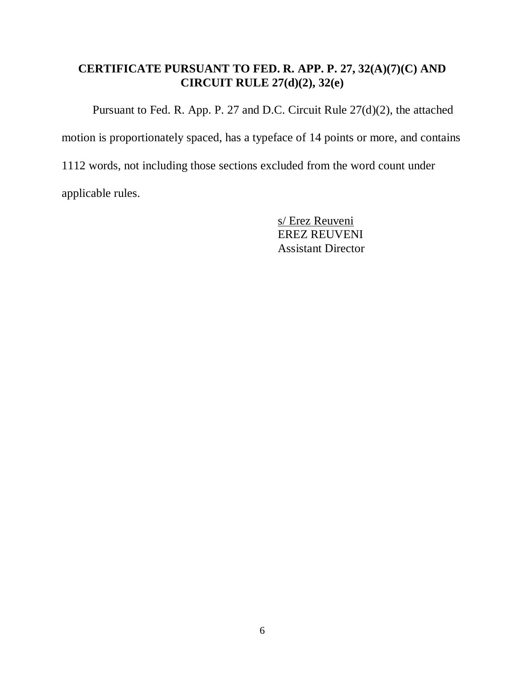# **CERTIFICATE PURSUANT TO FED. R. APP. P. 27, 32(A)(7)(C) AND CIRCUIT RULE 27(d)(2), 32(e)**

Pursuant to Fed. R. App. P. 27 and D.C. Circuit Rule 27(d)(2), the attached

motion is proportionately spaced, has a typeface of 14 points or more, and contains

1112 words, not including those sections excluded from the word count under

applicable rules.

s/ Erez Reuveni EREZ REUVENI Assistant Director